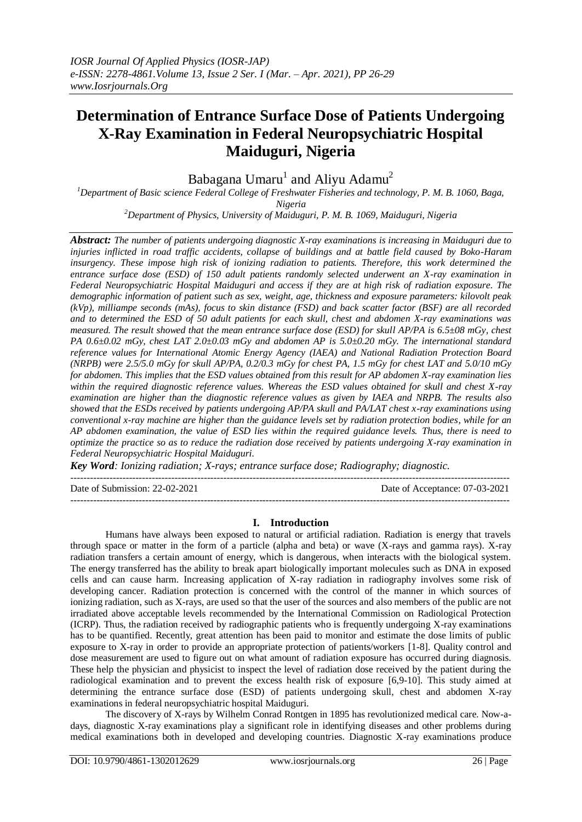# **Determination of Entrance Surface Dose of Patients Undergoing X-Ray Examination in Federal Neuropsychiatric Hospital Maiduguri, Nigeria**

Babagana Umaru $^1$  and Aliyu Adamu $^2$ 

*<sup>1</sup>Department of Basic science Federal College of Freshwater Fisheries and technology, P. M. B. 1060, Baga, Nigeria*

*<sup>2</sup>Department of Physics, University of Maiduguri, P. M. B. 1069, Maiduguri, Nigeria*

*Abstract: The number of patients undergoing diagnostic X-ray examinations is increasing in Maiduguri due to injuries inflicted in road traffic accidents, collapse of buildings and at battle field caused by Boko-Haram insurgency. These impose high risk of ionizing radiation to patients. Therefore, this work determined the entrance surface dose (ESD) of 150 adult patients randomly selected underwent an X-ray examination in Federal Neuropsychiatric Hospital Maiduguri and access if they are at high risk of radiation exposure. The demographic information of patient such as sex, weight, age, thickness and exposure parameters: kilovolt peak (kVp), milliampe seconds (mAs), focus to skin distance (FSD) and back scatter factor (BSF) are all recorded and to determined the ESD of 50 adult patients for each skull, chest and abdomen X-ray examinations was measured. The result showed that the mean entrance surface dose (ESD) for skull AP/PA is 6.5±08 mGy, chest PA 0.6±0.02 mGy, chest LAT 2.0±0.03 mGy and abdomen AP is 5.0±0.20 mGy. The international standard reference values for International Atomic Energy Agency (IAEA) and National Radiation Protection Board (NRPB) were 2.5/5.0 mGy for skull AP/PA, 0.2/0.3 mGy for chest PA, 1.5 mGy for chest LAT and 5.0/10 mGy for abdomen. This implies that the ESD values obtained from this result for AP abdomen X-ray examination lies within the required diagnostic reference values. Whereas the ESD values obtained for skull and chest X-ray examination are higher than the diagnostic reference values as given by IAEA and NRPB. The results also showed that the ESDs received by patients undergoing AP/PA skull and PA/LAT chest x-ray examinations using conventional x-ray machine are higher than the guidance levels set by radiation protection bodies, while for an AP abdomen examination, the value of ESD lies within the required guidance levels. Thus, there is need to optimize the practice so as to reduce the radiation dose received by patients undergoing X-ray examination in Federal Neuropsychiatric Hospital Maiduguri.*

*Key Word: Ionizing radiation; X-rays; entrance surface dose; Radiography; diagnostic.*

Date of Submission: 22-02-2021 Date of Acceptance: 07-03-2021

---------------------------------------------------------------------------------------------------------------------------------------

---------------------------------------------------------------------------------------------------------------------------------------

## **I. Introduction**

Humans have always been exposed to natural or artificial radiation. Radiation is energy that travels through space or matter in the form of a particle (alpha and beta) or wave (X-rays and gamma rays). X-ray radiation transfers a certain amount of energy, which is dangerous, when interacts with the biological system. The energy transferred has the ability to break apart biologically important molecules such as DNA in exposed cells and can cause harm. Increasing application of X-ray radiation in radiography involves some risk of developing cancer. Radiation protection is concerned with the control of the manner in which sources of ionizing radiation, such as X-rays, are used so that the user of the sources and also members of the public are not irradiated above acceptable levels recommended by the International Commission on Radiological Protection (ICRP). Thus, the radiation received by radiographic patients who is frequently undergoing X-ray examinations has to be quantified. Recently, great attention has been paid to monitor and estimate the dose limits of public exposure to X-ray in order to provide an appropriate protection of patients/workers [1-8]. Quality control and dose measurement are used to figure out on what amount of radiation exposure has occurred during diagnosis. These help the physician and physicist to inspect the level of radiation dose received by the patient during the radiological examination and to prevent the excess health risk of exposure [6,9-10]. This study aimed at determining the entrance surface dose (ESD) of patients undergoing skull, chest and abdomen X-ray examinations in federal neuropsychiatric hospital Maiduguri.

The discovery of X-rays by Wilhelm Conrad Rontgen in 1895 has revolutionized medical care. Now-adays, diagnostic X-ray examinations play a significant role in identifying diseases and other problems during medical examinations both in developed and developing countries. Diagnostic X-ray examinations produce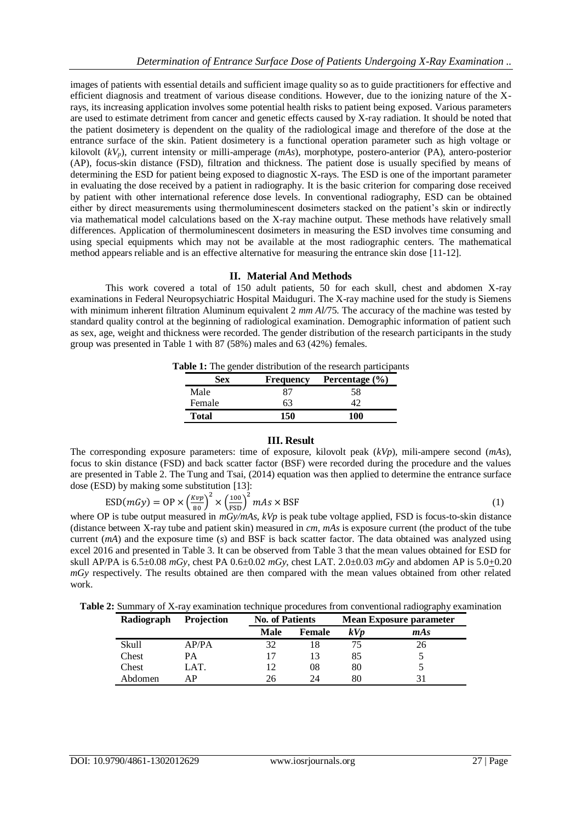images of patients with essential details and sufficient image quality so as to guide practitioners for effective and efficient diagnosis and treatment of various disease conditions. However, due to the ionizing nature of the Xrays, its increasing application involves some potential health risks to patient being exposed. Various parameters are used to estimate detriment from cancer and genetic effects caused by X-ray radiation. It should be noted that the patient dosimetery is dependent on the quality of the radiological image and therefore of the dose at the entrance surface of the skin. Patient dosimetery is a functional operation parameter such as high voltage or kilovolt (*kVp*), current intensity or milli-amperage (*mAs*), morphotype, postero-anterior (PA), antero-posterior (AP), focus-skin distance (FSD)*,* filtration and thickness. The patient dose is usually specified by means of determining the ESD for patient being exposed to diagnostic X-rays. The ESD is one of the important parameter in evaluating the dose received by a patient in radiography. It is the basic criterion for comparing dose received by patient with other international reference dose levels. In conventional radiography, ESD can be obtained either by direct measurements using thermoluminescent dosimeters stacked on the patient's skin or indirectly via mathematical model calculations based on the X-ray machine output. These methods have relatively small differences. Application of thermoluminescent dosimeters in measuring the ESD involves time consuming and using special equipments which may not be available at the most radiographic centers. The mathematical method appears reliable and is an effective alternative for measuring the entrance skin dose [11-12].

## **II. Material And Methods**

This work covered a total of 150 adult patients, 50 for each skull, chest and abdomen X-ray examinations in Federal Neuropsychiatric Hospital Maiduguri. The X-ray machine used for the study is Siemens with minimum inherent filtration Aluminum equivalent 2 *mm Al/75*. The accuracy of the machine was tested by standard quality control at the beginning of radiological examination. Demographic information of patient such as sex, age, weight and thickness were recorded. The gender distribution of the research participants in the study group was presented in Table 1 with 87 (58%) males and 63 (42%) females.

**Table 1:** The gender distribution of the research participants

| <b>Sex</b>   | <b>Frequency</b> | Percentage $(\% )$ |
|--------------|------------------|--------------------|
| Male         |                  | 58                 |
| Female       | 63               |                    |
| <b>Total</b> | 150              | 100                |

#### **III. Result**

The corresponding exposure parameters: time of exposure, kilovolt peak (*kVp*), mili-ampere second (*mAs*), focus to skin distance (FSD) and back scatter factor (BSF) were recorded during the procedure and the values are presented in Table 2. The Tung and Tsai, (2014) equation was then applied to determine the entrance surface dose (ESD) by making some substitution [13]:

$$
\text{ESD}(mGy) = \text{OP} \times \left(\frac{Kvp}{80}\right)^2 \times \left(\frac{100}{\text{FSD}}\right)^2 mAs \times \text{BSF}
$$
 (1)

where OP is tube output measured in  $mGy/mAs$ ,  $kVp$  is peak tube voltage applied, FSD is focus-to-skin distance (distance between X-ray tube and patient skin) measured in *cm*, *mAs* is exposure current (the product of the tube current (*mA*) and the exposure time (*s*) and BSF is back scatter factor. The data obtained was analyzed using excel 2016 and presented in Table 3. It can be observed from Table 3 that the mean values obtained for ESD for skull AP/PA is 6.5±0.08 *mGy*, chest PA 0.6±0.02 *mGy*, chest LAT. 2.0±0.03 *mGy* and abdomen AP is 5.0+0.20 *mGy* respectively. The results obtained are then compared with the mean values obtained from other related work.

**Table 2:** Summary of X-ray examination technique procedures from conventional radiography examination

| Radiograph | Projection | <b>No. of Patients</b> |               | <b>Mean Exposure parameter</b> |     |  |
|------------|------------|------------------------|---------------|--------------------------------|-----|--|
|            |            | Male                   | <b>Female</b> | kV <sub>p</sub>                | mAs |  |
| Skull      | AP/PA      | 32                     | 18            |                                | 26  |  |
| Chest      | PА         |                        | 13            | 85                             |     |  |
| Chest      | LAT.       |                        | 08            | 80                             |     |  |
| Abdomen    | AР         | 26                     | 24            | 80                             | 31  |  |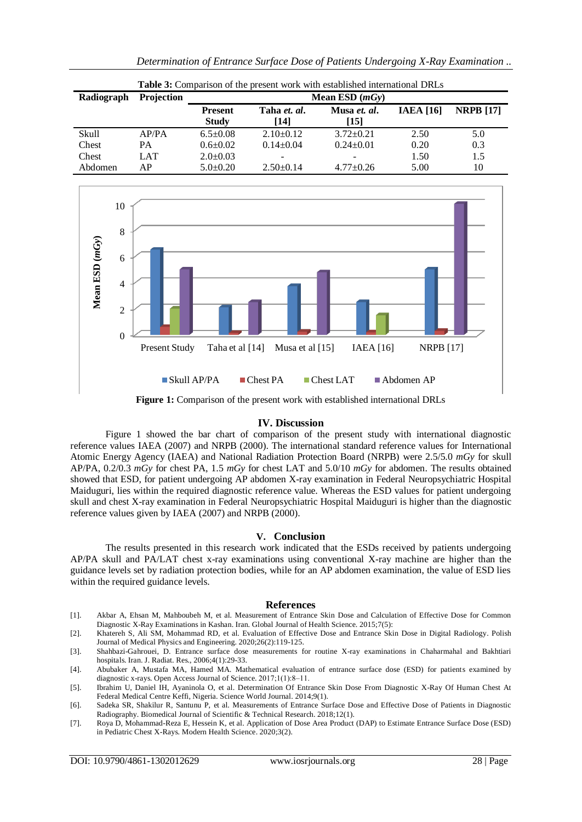|            | <b>THORE OF COMPANYON OF THE PLUSHE WORK WHILE COMPHONICG MITCHING DEVICE</b> |                                |                      |                      |                  |                  |  |
|------------|-------------------------------------------------------------------------------|--------------------------------|----------------------|----------------------|------------------|------------------|--|
| Radiograph | <b>Projection</b>                                                             | Mean ESD $(mGy)$               |                      |                      |                  |                  |  |
|            |                                                                               | <b>Present</b><br><b>Study</b> | Taha et. al.<br>[14] | Musa et. al.<br>[15] | <b>IAEA</b> [16] | <b>NRPB</b> [17] |  |
| Skull      | AP/PA                                                                         | $6.5 \pm 0.08$                 | $2.10\pm0.12$        | $3.72 \pm 0.21$      | 2.50             | 5.0              |  |
| Chest      | PА                                                                            | $0.6 \pm 0.02$                 | $0.14 \pm 0.04$      | $0.24 \pm 0.01$      | 0.20             | 0.3              |  |
| Chest      | LAT                                                                           | $2.0 \pm 0.03$                 |                      |                      | 1.50             | 1.5              |  |
| Abdomen    | АP                                                                            | $5.0+0.20$                     | $2.50 \pm 0.14$      | $4.77+0.26$          | 5.00             | 10               |  |





Figure 1: Comparison of the present work with established international DRLs

## **IV. Discussion**

Figure 1 showed the bar chart of comparison of the present study with international diagnostic reference values IAEA (2007) and NRPB (2000). The international standard reference values for International Atomic Energy Agency (IAEA) and National Radiation Protection Board (NRPB) were 2.5/5.0 *mGy* for skull AP/PA, 0.2/0.3 *mGy* for chest PA, 1.5 *mGy* for chest LAT and 5.0/10 *mGy* for abdomen. The results obtained showed that ESD, for patient undergoing AP abdomen X-ray examination in Federal Neuropsychiatric Hospital Maiduguri, lies within the required diagnostic reference value. Whereas the ESD values for patient undergoing skull and chest X-ray examination in Federal Neuropsychiatric Hospital Maiduguri is higher than the diagnostic reference values given by IAEA (2007) and NRPB (2000).

## **V. Conclusion**

The results presented in this research work indicated that the ESDs received by patients undergoing AP/PA skull and PA/LAT chest x-ray examinations using conventional X-ray machine are higher than the guidance levels set by radiation protection bodies, while for an AP abdomen examination, the value of ESD lies within the required guidance levels.

#### **References**

- [1]. Akbar A, Ehsan M, Mahboubeh M, et al. Measurement of Entrance Skin Dose and Calculation of Effective Dose for Common Diagnostic X-Ray Examinations in Kashan. Iran. Global Journal of Health Science. 2015;7(5):
- [2]. Khatereh S, Ali SM, Mohammad RD, et al. Evaluation of Effective Dose and Entrance Skin Dose in Digital Radiology. Polish Journal of Medical Physics and Engineering. 2020;26(2):119-125.
- [3]. Shahbazi-Gahrouei, D. Entrance surface dose measurements for routine X-ray examinations in Chaharmahal and Bakhtiari hospitals. Iran. J. Radiat. Res., 2006;4(1):29-33.
- [4]. Abubaker A, Mustafa MA, Hamed MA. Mathematical evaluation of entrance surface dose (ESD) for patients examined by diagnostic x-rays. Open Access Journal of Science. 2017;1(1):8-11.
- [5]. Ibrahim U, Daniel IH, Ayaninola O, et al. Determination Of Entrance Skin Dose From Diagnostic X-Ray Of Human Chest At Federal Medical Centre Keffi, Nigeria. Science World Journal. 2014;9(1).
- [6]. Sadeka SR, Shakilur R, Santunu P, et al. Measurements of Entrance Surface Dose and Effective Dose of Patients in Diagnostic Radiography. Biomedical Journal of Scientific & Technical Research. 2018;12(1).
- [7]. Roya D, Mohammad-Reza E, Hessein K, et al. Application of Dose Area Product (DAP) to Estimate Entrance Surface Dose (ESD) in Pediatric Chest X-Rays. Modern Health Science. 2020;3(2).